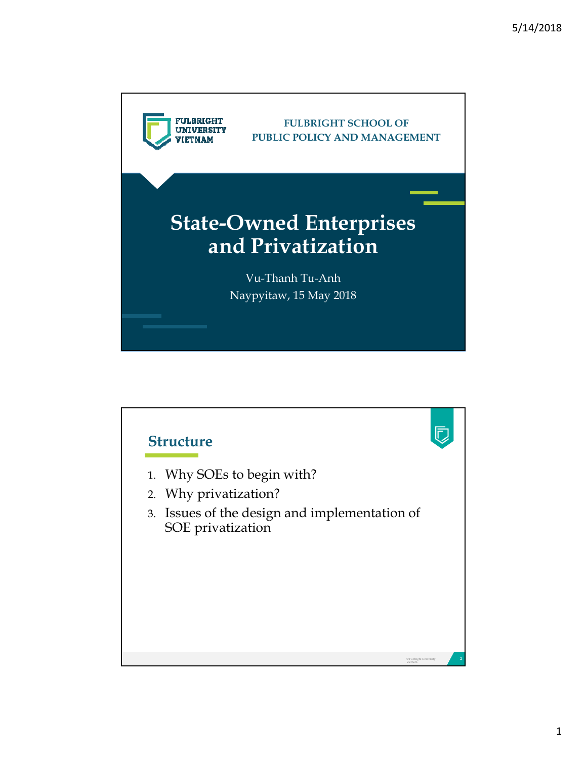

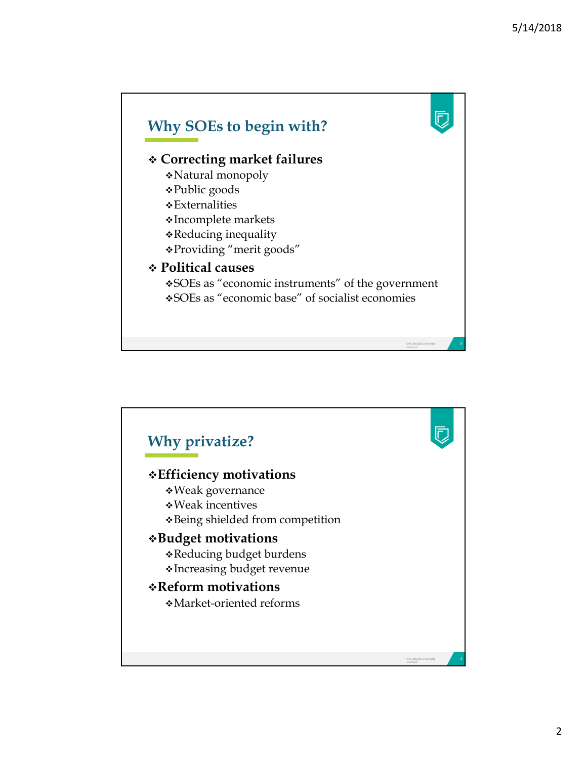

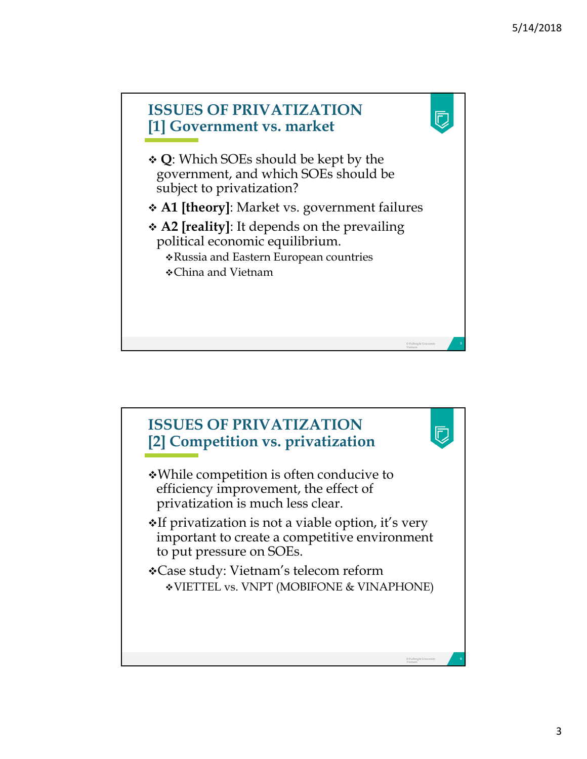

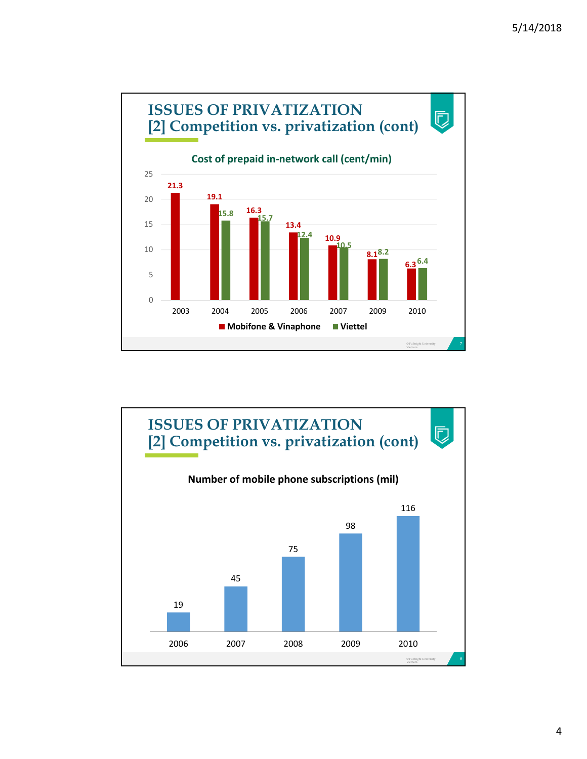

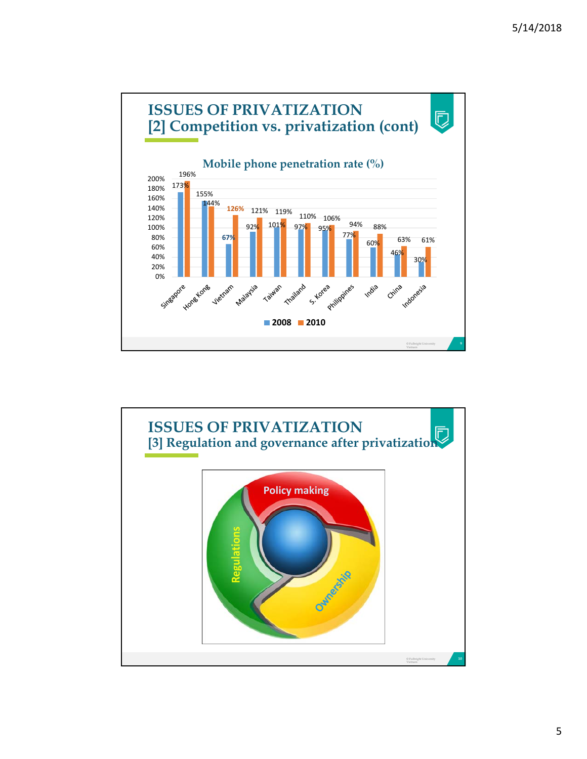

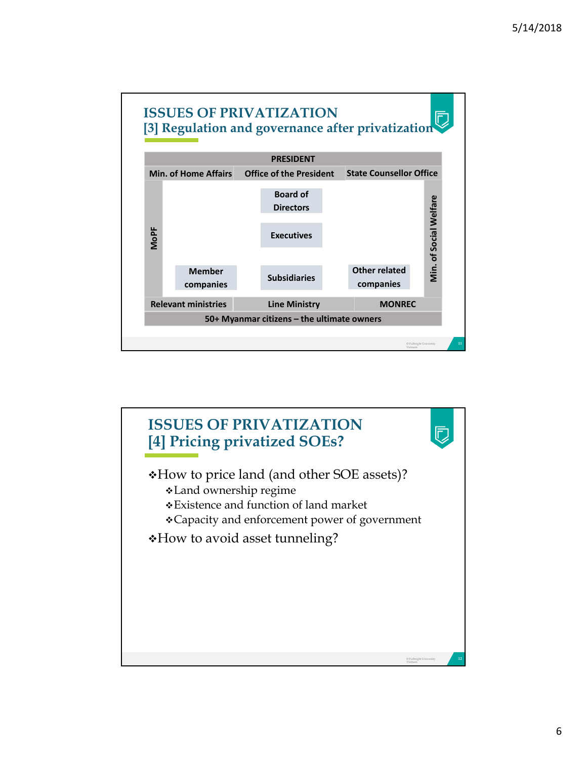

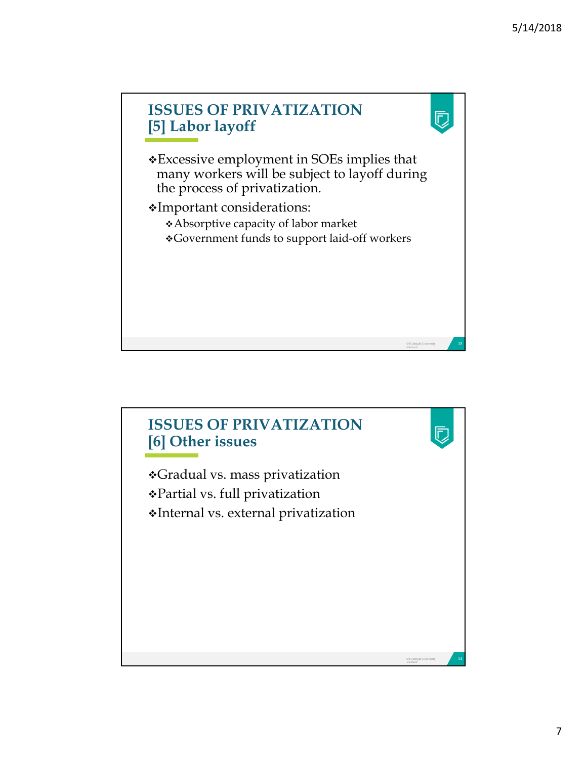